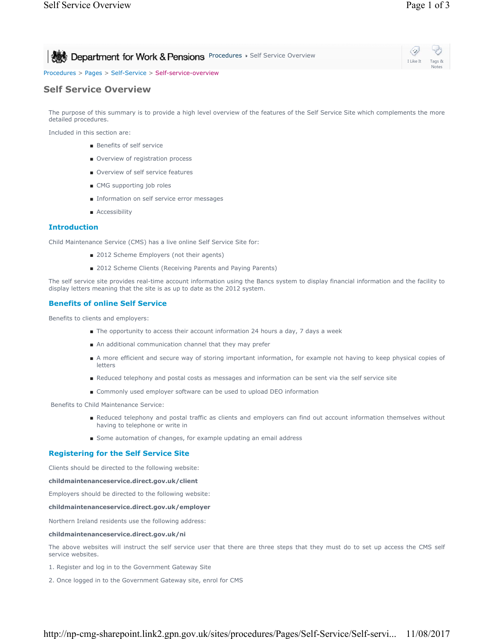| Department for Work & Pensions Procedures > Self Service Overview | $\circledcirc$<br>I Like It Tags &<br>Notes |
|-------------------------------------------------------------------|---------------------------------------------|
| Procedures > Pages > Self-Service > Self-service-overview         |                                             |

# **Self Service Overview**

The purpose of this summary is to provide a high level overview of the features of the Self Service Site which complements the more detailed procedures.

Included in this section are:

- Benefits of self service
- Overview of registration process
- Overview of self service features
- CMG supporting job roles
- Information on self service error messages
- Accessibility

## **Introduction**

Child Maintenance Service (CMS) has a live online Self Service Site for:

- 2012 Scheme Employers (not their agents)
- 2012 Scheme Clients (Receiving Parents and Paying Parents)

The self service site provides real-time account information using the Bancs system to display financial information and the facility to display letters meaning that the site is as up to date as the 2012 system.

### **Benefits of online Self Service**

Benefits to clients and employers:

- The opportunity to access their account information 24 hours a day, 7 days a week
- An additional communication channel that they may prefer
- A more efficient and secure way of storing important information, for example not having to keep physical copies of letters
- Reduced telephony and postal costs as messages and information can be sent via the self service site
- Commonly used employer software can be used to upload DEO information

Benefits to Child Maintenance Service:

- Reduced telephony and postal traffic as clients and employers can find out account information themselves without having to telephone or write in
- Some automation of changes, for example updating an email address

### **Registering for the Self Service Site**

Clients should be directed to the following website:

#### **childmaintenanceservice.direct.gov.uk/client**

Employers should be directed to the following website:

#### **childmaintenanceservice.direct.gov.uk/employer**

Northern Ireland residents use the following address:

#### **childmaintenanceservice.direct.gov.uk/ni**

The above websites will instruct the self service user that there are three steps that they must do to set up access the CMS self service websites.

1. Register and log in to the Government Gateway Site

2. Once logged in to the Government Gateway site, enrol for CMS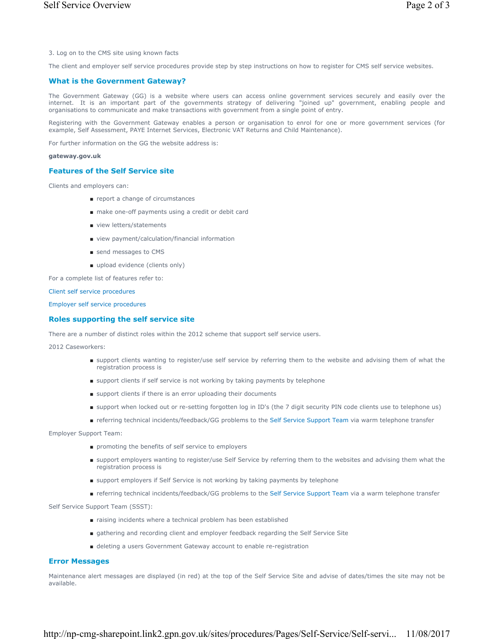3. Log on to the CMS site using known facts

The client and employer self service procedures provide step by step instructions on how to register for CMS self service websites.

#### **What is the Government Gateway?**

The Government Gateway (GG) is a website where users can access online government services securely and easily over the internet. It is an important part of the governments strategy of delivering "joined up" government, enabling people and organisations to communicate and make transactions with government from a single point of entry.

Registering with the Government Gateway enables a person or organisation to enrol for one or more government services (for example, Self Assessment, PAYE Internet Services, Electronic VAT Returns and Child Maintenance).

For further information on the GG the website address is:

#### **gateway.gov.uk**

#### **Features of the Self Service site**

Clients and employers can:

- report a change of circumstances
- make one-off payments using a credit or debit card
- view letters/statements
- view payment/calculation/financial information
- send messages to CMS
- upload evidence (clients only)

For a complete list of features refer to:

Client self service procedures

Employer self service procedures

### **Roles supporting the self service site**

There are a number of distinct roles within the 2012 scheme that support self service users.

2012 Caseworkers:

- support clients wanting to register/use self service by referring them to the website and advising them of what the registration process is
- support clients if self service is not working by taking payments by telephone
- support clients if there is an error uploading their documents
- support when locked out or re-setting forgotten log in ID's (the 7 digit security PIN code clients use to telephone us)
- referring technical incidents/feedback/GG problems to the Self Service Support Team via warm telephone transfer

Employer Support Team:

- promoting the benefits of self service to employers
- support employers wanting to register/use Self Service by referring them to the websites and advising them what the registration process is
- support employers if Self Service is not working by taking payments by telephone
- referring technical incidents/feedback/GG problems to the Self Service Support Team via a warm telephone transfer

Self Service Support Team (SSST):

- raising incidents where a technical problem has been established
- gathering and recording client and employer feedback regarding the Self Service Site
- deleting a users Government Gateway account to enable re-registration

# **Error Messages**

Maintenance alert messages are displayed (in red) at the top of the Self Service Site and advise of dates/times the site may not be available.